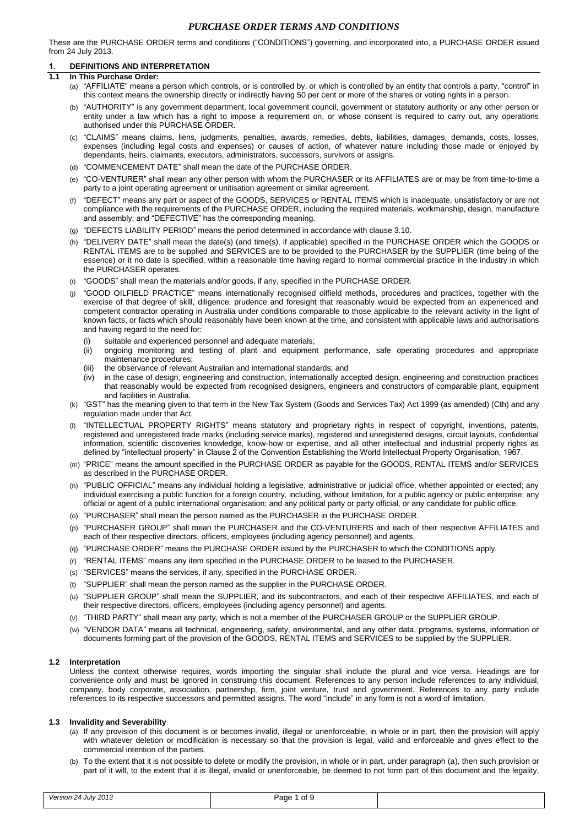These are the PURCHASE ORDER terms and conditions ("CONDITIONS") governing, and incorporated into, a PURCHASE ORDER issued from 24 July 2013.

# **1. DEFINITIONS AND INTERPRETATION**

- **1.1 In This Purchase Order:**
	- (a) "AFFILIATE" means a person which controls, or is controlled by, or which is controlled by an entity that controls a party, "control" in this context means the ownership directly or indirectly having 50 per cent or more of the shares or voting rights in a person.
	- (b) "AUTHORITY" is any government department, local government council, government or statutory authority or any other person or entity under a law which has a right to impose a requirement on, or whose consent is required to carry out, any operations authorised under this PURCHASE ORDER.
	- (c) "CLAIMS" means claims, liens, judgments, penalties, awards, remedies, debts, liabilities, damages, demands, costs, losses, expenses (including legal costs and expenses) or causes of action, of whatever nature including those made or enjoyed by dependants, heirs, claimants, executors, administrators, successors, survivors or assigns.
	- (d) "COMMENCEMENT DATE" shall mean the date of the PURCHASE ORDER.
	- (e) "CO-VENTURER" shall mean any other person with whom the PURCHASER or its AFFILIATES are or may be from time-to-time a party to a joint operating agreement or unitisation agreement or similar agreement.
	- (f) "DEFECT" means any part or aspect of the GOODS, SERVICES or RENTAL ITEMS which is inadequate, unsatisfactory or are not compliance with the requirements of the PURCHASE ORDER, including the required materials, workmanship, design, manufacture and assembly; and "DEFECTIVE" has the corresponding meaning.
	- (g) "DEFECTS LIABILITY PERIOD" means the period determined in accordance with clause 3.10.
	- (h) "DELIVERY DATE" shall mean the date(s) (and time(s), if applicable) specified in the PURCHASE ORDER which the GOODS or RENTAL ITEMS are to be supplied and SERVICES are to be provided to the PURCHASER by the SUPPLIER (time being of the essence) or it no date is specified, within a reasonable time having regard to normal commercial practice in the industry in which the PURCHASER operates.
	- (i) "GOODS" shall mean the materials and/or goods, if any, specified in the PURCHASE ORDER.
	- (j) "GOOD OILFIELD PRACTICE" means internationally recognised oilfield methods, procedures and practices, together with the exercise of that degree of skill, diligence, prudence and foresight that reasonably would be expected from an experienced and competent contractor operating in Australia under conditions comparable to those applicable to the relevant activity in the light of known facts, or facts which should reasonably have been known at the time, and consistent with applicable laws and authorisations and having regard to the need for:
		- (i) suitable and experienced personnel and adequate materials;
		- ongoing monitoring and testing of plant and equipment performance, safe operating procedures and appropriate maintenance procedures;
		- (iii) the observance of relevant Australian and international standards; and
		- (iv) in the case of design, engineering and construction, internationally accepted design, engineering and construction practices that reasonably would be expected from recognised designers, engineers and constructors of comparable plant, equipment and facilities in Australia.
	- (k) "GST" has the meaning given to that term in the New Tax System (Goods and Services Tax) Act 1999 (as amended) (Cth) and any regulation made under that Act.
	- "INTELLECTUAL PROPERTY RIGHTS" means statutory and proprietary rights in respect of copyright, inventions, patents, registered and unregistered trade marks (including service marks), registered and unregistered designs, circuit layouts, confidential information, scientific discoveries knowledge, know-how or expertise, and all other intellectual and industrial property rights as defined by "intellectual property" in Clause 2 of the Convention Establishing the World Intellectual Property Organisation, 1967.
	- (m) "PRICE" means the amount specified in the PURCHASE ORDER as payable for the GOODS, RENTAL ITEMS and/or SERVICES as described in the PURCHASE ORDER.
	- (n) "PUBLIC OFFICIAL" means any individual holding a legislative, administrative or judicial office, whether appointed or elected; any individual exercising a public function for a foreign country, including, without limitation, for a public agency or public enterprise; any official or agent of a public international organisation; and any political party or party official, or any candidate for public office.
	- (o) "PURCHASER" shall mean the person named as the PURCHASER in the PURCHASE ORDER.
	- (p) "PURCHASER GROUP" shall mean the PURCHASER and the CO-VENTURERS and each of their respective AFFILIATES and each of their respective directors, officers, employees (including agency personnel) and agents.
	- (q) "PURCHASE ORDER" means the PURCHASE ORDER issued by the PURCHASER to which the CONDITIONS apply.
	- (r) "RENTAL ITEMS" means any item specified in the PURCHASE ORDER to be leased to the PURCHASER.
	- (s) "SERVICES" means the services, if any, specified in the PURCHASE ORDER.
	- (t) "SUPPLIER" shall mean the person named as the supplier in the PURCHASE ORDER.
	- (u) "SUPPLIER GROUP" shall mean the SUPPLIER, and its subcontractors, and each of their respective AFFILIATES, and each of their respective directors, officers, employees (including agency personnel) and agents.
	- (v) "THIRD PARTY" shall mean any party, which is not a member of the PURCHASER GROUP or the SUPPLIER GROUP.
	- (w) "VENDOR DATA" means all technical, engineering, safety, environmental, and any other data, programs, systems, information or documents forming part of the provision of the GOODS, RENTAL ITEMS and SERVICES to be supplied by the SUPPLIER.

### **1.2 Interpretation**

Unless the context otherwise requires, words importing the singular shall include the plural and vice versa. Headings are for convenience only and must be ignored in construing this document. References to any person include references to any individual, company, body corporate, association, partnership, firm, joint venture, trust and government. References to any party include references to its respective successors and permitted assigns. The word "include" in any form is not a word of limitation.

### **1.3 Invalidity and Severability**

- (a) If any provision of this document is or becomes invalid, illegal or unenforceable, in whole or in part, then the provision will apply with whatever deletion or modification is necessary so that the provision is legal, valid and enforceable and gives effect to the commercial intention of the parties.
- (b) To the extent that it is not possible to delete or modify the provision, in whole or in part, under paragraph (a), then such provision or part of it will, to the extent that it is illegal, invalid or unenforceable, be deemed to not form part of this document and the legality,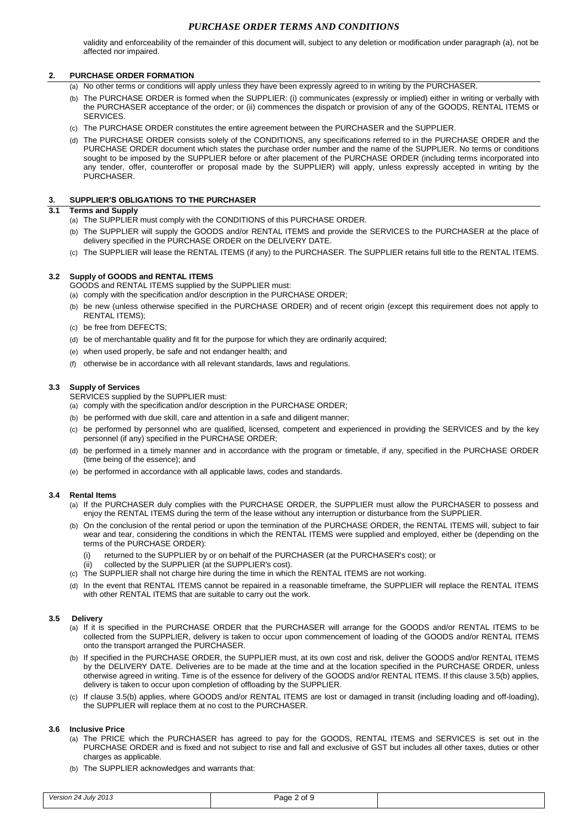validity and enforceability of the remainder of this document will, subject to any deletion or modification under paragraph (a), not be affected nor impaired.

# **2. PURCHASE ORDER FORMATION**

- (a) No other terms or conditions will apply unless they have been expressly agreed to in writing by the PURCHASER.
- (b) The PURCHASE ORDER is formed when the SUPPLIER: (i) communicates (expressly or implied) either in writing or verbally with the PURCHASER acceptance of the order; or (ii) commences the dispatch or provision of any of the GOODS, RENTAL ITEMS or SERVICES.
- (c) The PURCHASE ORDER constitutes the entire agreement between the PURCHASER and the SUPPLIER.
- (d) The PURCHASE ORDER consists solely of the CONDITIONS, any specifications referred to in the PURCHASE ORDER and the PURCHASE ORDER document which states the purchase order number and the name of the SUPPLIER. No terms or conditions sought to be imposed by the SUPPLIER before or after placement of the PURCHASE ORDER (including terms incorporated into any tender, offer, counteroffer or proposal made by the SUPPLIER) will apply, unless expressly accepted in writing by the PURCHASER.

## **3. SUPPLIER'S OBLIGATIONS TO THE PURCHASER**

# **3.1 Terms and Supply**

- (a) The SUPPLIER must comply with the CONDITIONS of this PURCHASE ORDER.
- (b) The SUPPLIER will supply the GOODS and/or RENTAL ITEMS and provide the SERVICES to the PURCHASER at the place of delivery specified in the PURCHASE ORDER on the DELIVERY DATE.
- (c) The SUPPLIER will lease the RENTAL ITEMS (if any) to the PURCHASER. The SUPPLIER retains full title to the RENTAL ITEMS.

# **3.2 Supply of GOODS and RENTAL ITEMS**

- GOODS and RENTAL ITEMS supplied by the SUPPLIER must:
- (a) comply with the specification and/or description in the PURCHASE ORDER;
- (b) be new (unless otherwise specified in the PURCHASE ORDER) and of recent origin (except this requirement does not apply to RENTAL ITEMS);
- (c) be free from DEFECTS;
- (d) be of merchantable quality and fit for the purpose for which they are ordinarily acquired;
- (e) when used properly, be safe and not endanger health; and
- (f) otherwise be in accordance with all relevant standards, laws and regulations.

#### **3.3 Supply of Services**

SERVICES supplied by the SUPPLIER must:

- (a) comply with the specification and/or description in the PURCHASE ORDER;
- (b) be performed with due skill, care and attention in a safe and diligent manner;
- (c) be performed by personnel who are qualified, licensed, competent and experienced in providing the SERVICES and by the key personnel (if any) specified in the PURCHASE ORDER;
- (d) be performed in a timely manner and in accordance with the program or timetable, if any, specified in the PURCHASE ORDER (time being of the essence); and
- (e) be performed in accordance with all applicable laws, codes and standards.

#### **3.4 Rental Items**

- (a) If the PURCHASER duly complies with the PURCHASE ORDER, the SUPPLIER must allow the PURCHASER to possess and enjoy the RENTAL ITEMS during the term of the lease without any interruption or disturbance from the SUPPLIER.
- (b) On the conclusion of the rental period or upon the termination of the PURCHASE ORDER, the RENTAL ITEMS will, subject to fair wear and tear, considering the conditions in which the RENTAL ITEMS were supplied and employed, either be (depending on the terms of the PURCHASE ORDER):
	- (i) returned to the SUPPLIER by or on behalf of the PURCHASER (at the PURCHASER's cost); or<br>(ii) collected by the SUPPLIER (at the SUPPLIER's cost).
	- collected by the SUPPLIER (at the SUPPLIER's cost).
- (c) The SUPPLIER shall not charge hire during the time in which the RENTAL ITEMS are not working.
- (d) In the event that RENTAL ITEMS cannot be repaired in a reasonable timeframe, the SUPPLIER will replace the RENTAL ITEMS with other RENTAL ITEMS that are suitable to carry out the work.

#### **3.5 Delivery**

- (a) If it is specified in the PURCHASE ORDER that the PURCHASER will arrange for the GOODS and/or RENTAL ITEMS to be collected from the SUPPLIER, delivery is taken to occur upon commencement of loading of the GOODS and/or RENTAL ITEMS onto the transport arranged the PURCHASER.
- <span id="page-1-0"></span>(b) If specified in the PURCHASE ORDER, the SUPPLIER must, at its own cost and risk, deliver the GOODS and/or RENTAL ITEMS by the DELIVERY DATE. Deliveries are to be made at the time and at the location specified in the PURCHASE ORDER, unless otherwise agreed in writing. Time is of the essence for delivery of the GOODS and/or RENTAL ITEMS. If this claus[e 3.5\(b\)](#page-1-0) applies, delivery is taken to occur upon completion of offloading by the SUPPLIER.
- (c) If clause [3.5\(b\)](#page-1-0) applies, where GOODS and/or RENTAL ITEMS are lost or damaged in transit (including loading and off-loading), the SUPPLIER will replace them at no cost to the PURCHASER.

#### **3.6 Inclusive Price**

- (a) The PRICE which the PURCHASER has agreed to pay for the GOODS, RENTAL ITEMS and SERVICES is set out in the PURCHASE ORDER and is fixed and not subject to rise and fall and exclusive of GST but includes all other taxes, duties or other charges as applicable.
- (b) The SUPPLIER acknowledges and warrants that: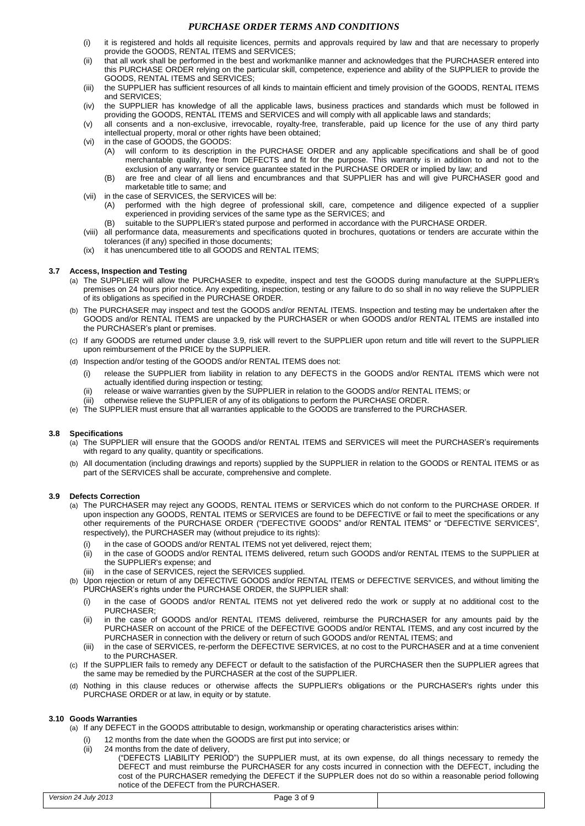- (i) it is registered and holds all requisite licences, permits and approvals required by law and that are necessary to properly provide the GOODS, RENTAL ITEMS and SERVICES;
- (ii) that all work shall be performed in the best and workmanlike manner and acknowledges that the PURCHASER entered into this PURCHASE ORDER relying on the particular skill, competence, experience and ability of the SUPPLIER to provide the GOODS, RENTAL ITEMS and SERVICES;
- (iii) the SUPPLIER has sufficient resources of all kinds to maintain efficient and timely provision of the GOODS, RENTAL ITEMS and SERVICES;
- (iv) the SUPPLIER has knowledge of all the applicable laws, business practices and standards which must be followed in providing the GOODS, RENTAL ITEMS and SERVICES and will comply with all applicable laws and standards;
- (v) all consents and a non-exclusive, irrevocable, royalty-free, transferable, paid up licence for the use of any third party intellectual property, moral or other rights have been obtained;
- (vi) in the case of GOODS, the GOODS:
	- (A) will conform to its description in the PURCHASE ORDER and any applicable specifications and shall be of good merchantable quality, free from DEFECTS and fit for the purpose. This warranty is in addition to and not to the exclusion of any warranty or service guarantee stated in the PURCHASE ORDER or implied by law; and
	- (B) are free and clear of all liens and encumbrances and that SUPPLIER has and will give PURCHASER good and marketable title to same; and
- (vii) in the case of SERVICES, the SERVICES will be:
	- (A) performed with the high degree of professional skill, care, competence and diligence expected of a supplier experienced in providing services of the same type as the SERVICES; and
	- suitable to the SUPPLIER's stated purpose and performed in accordance with the PURCHASE ORDER.
- (viii) all performance data, measurements and specifications quoted in brochures, quotations or tenders are accurate within the tolerances (if any) specified in those documents;
- (ix) it has unencumbered title to all GOODS and RENTAL ITEMS;

## **3.7 Access, Inspection and Testing**

- (a) The SUPPLIER will allow the PURCHASER to expedite, inspect and test the GOODS during manufacture at the SUPPLIER's premises on 24 hours prior notice. Any expediting, inspection, testing or any failure to do so shall in no way relieve the SUPPLIER of its obligations as specified in the PURCHASE ORDER.
- (b) The PURCHASER may inspect and test the GOODS and/or RENTAL ITEMS. Inspection and testing may be undertaken after the GOODS and/or RENTAL ITEMS are unpacked by the PURCHASER or when GOODS and/or RENTAL ITEMS are installed into the PURCHASER's plant or premises.
- (c) If any GOODS are returned under clause [3.9,](#page-2-0) risk will revert to the SUPPLIER upon return and title will revert to the SUPPLIER upon reimbursement of the PRICE by the SUPPLIER.
- (d) Inspection and/or testing of the GOODS and/or RENTAL ITEMS does not:
	- (i) release the SUPPLIER from liability in relation to any DEFECTS in the GOODS and/or RENTAL ITEMS which were not actually identified during inspection or testing;
	- (ii) release or waive warranties given by the SUPPLIER in relation to the GOODS and/or RENTAL ITEMS; or
	- (iii) otherwise relieve the SUPPLIER of any of its obligations to perform the PURCHASE ORDER.
- (e) The SUPPLIER must ensure that all warranties applicable to the GOODS are transferred to the PURCHASER.

# **3.8 Specifications**

- (a) The SUPPLIER will ensure that the GOODS and/or RENTAL ITEMS and SERVICES will meet the PURCHASER's requirements with regard to any quality, quantity or specifications.
- (b) All documentation (including drawings and reports) supplied by the SUPPLIER in relation to the GOODS or RENTAL ITEMS or as part of the SERVICES shall be accurate, comprehensive and complete.

### <span id="page-2-0"></span>**3.9 Defects Correction**

- (a) The PURCHASER may reject any GOODS, RENTAL ITEMS or SERVICES which do not conform to the PURCHASE ORDER. If upon inspection any GOODS, RENTAL ITEMS or SERVICES are found to be DEFECTIVE or fail to meet the specifications or any other requirements of the PURCHASE ORDER ("DEFECTIVE GOODS" and/or RENTAL ITEMS" or "DEFECTIVE SERVICES", respectively), the PURCHASER may (without prejudice to its rights):
	- (i) in the case of GOODS and/or RENTAL ITEMS not yet delivered, reject them;<br>(ii) in the case of GOODS and/or RENTAL ITEMS delivered, return such GOOD
	- in the case of GOODS and/or RENTAL ITEMS delivered, return such GOODS and/or RENTAL ITEMS to the SUPPLIER at the SUPPLIER's expense; and
	- (iii) in the case of SERVICES, reject the SERVICES supplied.
- (b) Upon rejection or return of any DEFECTIVE GOODS and/or RENTAL ITEMS or DEFECTIVE SERVICES, and without limiting the PURCHASER's rights under the PURCHASE ORDER, the SUPPLIER shall:
	- (i) in the case of GOODS and/or RENTAL ITEMS not yet delivered redo the work or supply at no additional cost to the PURCHASER;
	- (ii) in the case of GOODS and/or RENTAL ITEMS delivered, reimburse the PURCHASER for any amounts paid by the PURCHASER on account of the PRICE of the DEFECTIVE GOODS and/or RENTAL ITEMS, and any cost incurred by the PURCHASER in connection with the delivery or return of such GOODS and/or RENTAL ITEMS; and
	- (iii) in the case of SERVICES, re-perform the DEFECTIVE SERVICES, at no cost to the PURCHASER and at a time convenient to the PURCHASER.
- (c) If the SUPPLIER fails to remedy any DEFECT or default to the satisfaction of the PURCHASER then the SUPPLIER agrees that the same may be remedied by the PURCHASER at the cost of the SUPPLIER.
- (d) Nothing in this clause reduces or otherwise affects the SUPPLIER's obligations or the PURCHASER's rights under this PURCHASE ORDER or at law, in equity or by statute.

### **3.10 Goods Warranties**

- (a) If any DEFECT in the GOODS attributable to design, workmanship or operating characteristics arises within:
	- 12 months from the date when the GOODS are first put into service; or
	- (ii) 24 months from the date of delivery,
		- ("DEFECTS LIABILITY PERIOD") the SUPPLIER must, at its own expense, do all things necessary to remedy the DEFECT and must reimburse the PURCHASER for any costs incurred in connection with the DEFECT, including the cost of the PURCHASER remedying the DEFECT if the SUPPLER does not do so within a reasonable period following notice of the DEFECT from the PURCHASER.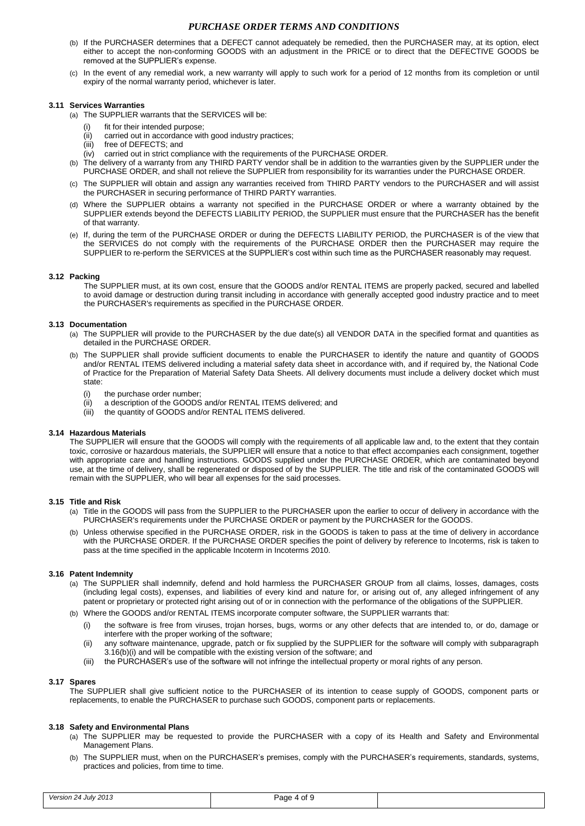- (b) If the PURCHASER determines that a DEFECT cannot adequately be remedied, then the PURCHASER may, at its option, elect either to accept the non-conforming GOODS with an adjustment in the PRICE or to direct that the DEFECTIVE GOODS be removed at the SUPPLIER's expense.
- (c) In the event of any remedial work, a new warranty will apply to such work for a period of 12 months from its completion or until expiry of the normal warranty period, whichever is later.

# **3.11 Services Warranties**

(a) The SUPPLIER warrants that the SERVICES will be:

- 
- (i) fit for their intended purpose;<br>(ii) carried out in accordance wit carried out in accordance with good industry practices;
- (iii) free of DEFECTS; and
- (iv) carried out in strict compliance with the requirements of the PURCHASE ORDER.
- (b) The delivery of a warranty from any THIRD PARTY vendor shall be in addition to the warranties given by the SUPPLIER under the PURCHASE ORDER, and shall not relieve the SUPPLIER from responsibility for its warranties under the PURCHASE ORDER.
- (c) The SUPPLIER will obtain and assign any warranties received from THIRD PARTY vendors to the PURCHASER and will assist the PURCHASER in securing performance of THIRD PARTY warranties.
- (d) Where the SUPPLIER obtains a warranty not specified in the PURCHASE ORDER or where a warranty obtained by the SUPPLIER extends beyond the DEFECTS LIABILITY PERIOD, the SUPPLIER must ensure that the PURCHASER has the benefit of that warranty.
- (e) If, during the term of the PURCHASE ORDER or during the DEFECTS LIABILITY PERIOD, the PURCHASER is of the view that the SERVICES do not comply with the requirements of the PURCHASE ORDER then the PURCHASER may require the SUPPLIER to re-perform the SERVICES at the SUPPLIER's cost within such time as the PURCHASER reasonably may request.

#### **3.12 Packing**

The SUPPLIER must, at its own cost, ensure that the GOODS and/or RENTAL ITEMS are properly packed, secured and labelled to avoid damage or destruction during transit including in accordance with generally accepted good industry practice and to meet the PURCHASER's requirements as specified in the PURCHASE ORDER.

#### **3.13 Documentation**

- (a) The SUPPLIER will provide to the PURCHASER by the due date(s) all VENDOR DATA in the specified format and quantities as detailed in the PURCHASE ORDER.
- (b) The SUPPLIER shall provide sufficient documents to enable the PURCHASER to identify the nature and quantity of GOODS and/or RENTAL ITEMS delivered including a material safety data sheet in accordance with, and if required by, the National Code of Practice for the Preparation of Material Safety Data Sheets. All delivery documents must include a delivery docket which must state:
	- (i) the purchase order number;
	- (ii) a description of the GOODS and/or RENTAL ITEMS delivered; and
	- (iii) the quantity of GOODS and/or RENTAL ITEMS delivered.

#### **3.14 Hazardous Materials**

The SUPPLIER will ensure that the GOODS will comply with the requirements of all applicable law and, to the extent that they contain toxic, corrosive or hazardous materials, the SUPPLIER will ensure that a notice to that effect accompanies each consignment, together with appropriate care and handling instructions. GOODS supplied under the PURCHASE ORDER, which are contaminated beyond use, at the time of delivery, shall be regenerated or disposed of by the SUPPLIER. The title and risk of the contaminated GOODS will remain with the SUPPLIER, who will bear all expenses for the said processes.

### **3.15 Title and Risk**

- (a) Title in the GOODS will pass from the SUPPLIER to the PURCHASER upon the earlier to occur of delivery in accordance with the PURCHASER's requirements under the PURCHASE ORDER or payment by the PURCHASER for the GOODS.
- (b) Unless otherwise specified in the PURCHASE ORDER, risk in the GOODS is taken to pass at the time of delivery in accordance with the PURCHASE ORDER. If the PURCHASE ORDER specifies the point of delivery by reference to Incoterms, risk is taken to pass at the time specified in the applicable Incoterm in Incoterms 2010.

## **3.16 Patent Indemnity**

- (a) The SUPPLIER shall indemnify, defend and hold harmless the PURCHASER GROUP from all claims, losses, damages, costs (including legal costs), expenses, and liabilities of every kind and nature for, or arising out of, any alleged infringement of any patent or proprietary or protected right arising out of or in connection with the performance of the obligations of the SUPPLIER.
- <span id="page-3-0"></span>(b) Where the GOODS and/or RENTAL ITEMS incorporate computer software, the SUPPLIER warrants that:
	- (i) the software is free from viruses, trojan horses, bugs, worms or any other defects that are intended to, or do, damage or interfere with the proper working of the software;
	- (ii) any software maintenance, upgrade, patch or fix supplied by the SUPPLIER for the software will comply with subparagraph [3.16\(b\)\(i\)](#page-3-0) and will be compatible with the existing version of the software; and
	- (iii) the PURCHASER's use of the software will not infringe the intellectual property or moral rights of any person.

#### **3.17 Spares**

The SUPPLIER shall give sufficient notice to the PURCHASER of its intention to cease supply of GOODS, component parts or replacements, to enable the PURCHASER to purchase such GOODS, component parts or replacements.

#### **3.18 Safety and Environmental Plans**

- (a) The SUPPLIER may be requested to provide the PURCHASER with a copy of its Health and Safety and Environmental Management Plans.
- (b) The SUPPLIER must, when on the PURCHASER's premises, comply with the PURCHASER's requirements, standards, systems, practices and policies, from time to time.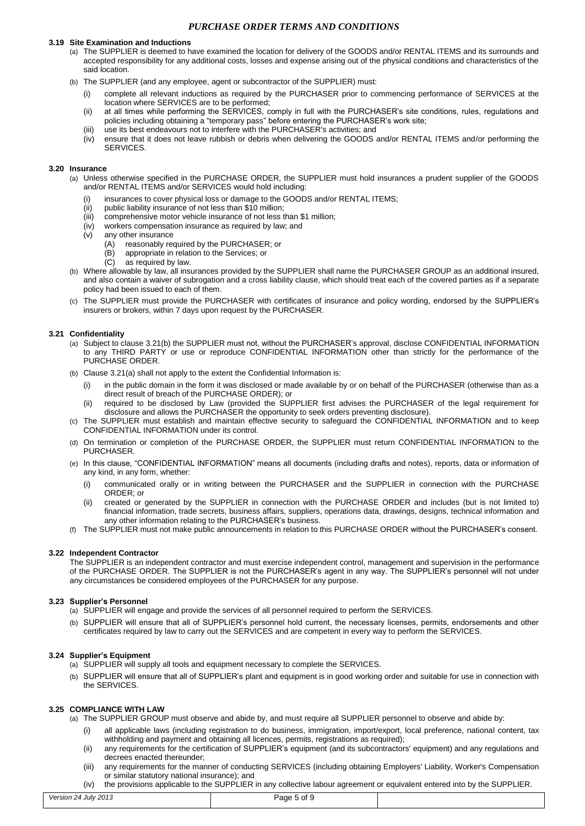#### **3.19 Site Examination and Inductions**

- (a) The SUPPLIER is deemed to have examined the location for delivery of the GOODS and/or RENTAL ITEMS and its surrounds and accepted responsibility for any additional costs, losses and expense arising out of the physical conditions and characteristics of the said location.
- (b) The SUPPLIER (and any employee, agent or subcontractor of the SUPPLIER) must:
	- (i) complete all relevant inductions as required by the PURCHASER prior to commencing performance of SERVICES at the location where SERVICES are to be performed;
	- (ii) at all times while performing the SERVICES, comply in full with the PURCHASER's site conditions, rules, regulations and policies including obtaining a "temporary pass" before entering the PURCHASER's work site;
	- (iii) use its best endeavours not to interfere with the PURCHASER's activities; and
	- $(iv)$  ensure that it does not leave rubbish or debris when delivering the GOODS and/or RENTAL ITEMS and/or performing the SERVICES.

# **3.20 Insurance**

- (a) Unless otherwise specified in the PURCHASE ORDER, the SUPPLIER must hold insurances a prudent supplier of the GOODS and/or RENTAL ITEMS and/or SERVICES would hold including:
	- (i) insurances to cover physical loss or damage to the GOODS and/or RENTAL ITEMS;
	- (ii) public liability insurance of not less than \$10 million;
	- (iii) comprehensive motor vehicle insurance of not less than \$1 million;
	- (iv) workers compensation insurance as required by law; and
	- (v) any other insurance
		- (A) reasonably required by the PURCHASER; or
		- $(B)$  appropriate in relation to the Services; or  $(C)$  as required by law.
		- as required by law.
- (b) Where allowable by law, all insurances provided by the SUPPLIER shall name the PURCHASER GROUP as an additional insured, and also contain a waiver of subrogation and a cross liability clause, which should treat each of the covered parties as if a separate policy had been issued to each of them.
- (c) The SUPPLIER must provide the PURCHASER with certificates of insurance and policy wording, endorsed by the SUPPLIER's insurers or brokers, within 7 days upon request by the PURCHASER.

#### <span id="page-4-0"></span>**3.21 Confidentiality**

- (a) Subject to claus[e 3.21\(b\)](#page-4-0) the SUPPLIER must not, without the PURCHASER's approval, disclose CONFIDENTIAL INFORMATION to any THIRD PARTY or use or reproduce CONFIDENTIAL INFORMATION other than strictly for the performance of the PURCHASE ORDER.
- (b) Claus[e 3.21\(](#page-4-0)a) shall not apply to the extent the Confidential Information is:
	- (i) in the public domain in the form it was disclosed or made available by or on behalf of the PURCHASER (otherwise than as a direct result of breach of the PURCHASE ORDER); or
	- (ii) required to be disclosed by Law (provided the SUPPLIER first advises the PURCHASER of the legal requirement for disclosure and allows the PURCHASER the opportunity to seek orders preventing disclosure).
- (c) The SUPPLIER must establish and maintain effective security to safeguard the CONFIDENTIAL INFORMATION and to keep CONFIDENTIAL INFORMATION under its control.
- (d) On termination or completion of the PURCHASE ORDER, the SUPPLIER must return CONFIDENTIAL INFORMATION to the PURCHASER.
- (e) In this clause, "CONFIDENTIAL INFORMATION" means all documents (including drafts and notes), reports, data or information of any kind, in any form, whether:
	- (i) communicated orally or in writing between the PURCHASER and the SUPPLIER in connection with the PURCHASE ORDER; or
	- (ii) created or generated by the SUPPLIER in connection with the PURCHASE ORDER and includes (but is not limited to) financial information, trade secrets, business affairs, suppliers, operations data, drawings, designs, technical information and any other information relating to the PURCHASER's business.
- (f) The SUPPLIER must not make public announcements in relation to this PURCHASE ORDER without the PURCHASER's consent.

## **3.22 Independent Contractor**

The SUPPLIER is an independent contractor and must exercise independent control, management and supervision in the performance of the PURCHASE ORDER. The SUPPLIER is not the PURCHASER's agent in any way. The SUPPLIER's personnel will not under any circumstances be considered employees of the PURCHASER for any purpose.

### **3.23 Supplier's Personnel**

- (a) SUPPLIER will engage and provide the services of all personnel required to perform the SERVICES.
- (b) SUPPLIER will ensure that all of SUPPLIER's personnel hold current, the necessary licenses, permits, endorsements and other certificates required by law to carry out the SERVICES and are competent in every way to perform the SERVICES.

### **3.24 Supplier's Equipment**

- (a) SUPPLIER will supply all tools and equipment necessary to complete the SERVICES.
- (b) SUPPLIER will ensure that all of SUPPLIER's plant and equipment is in good working order and suitable for use in connection with the SERVICES.

### <span id="page-4-1"></span>**3.25 COMPLIANCE WITH LAW**

- (a) The SUPPLIER GROUP must observe and abide by, and must require all SUPPLIER personnel to observe and abide by:
	- (i) all applicable laws (including registration to do business, immigration, import/export, local preference, national content, tax withholding and payment and obtaining all licences, permits, registrations as required);
	- (ii) any requirements for the certification of SUPPLIER's equipment (and its subcontractors' equipment) and any regulations and decrees enacted thereunder;
	- (iii) any requirements for the manner of conducting SERVICES (including obtaining Employers' Liability, Worker's Compensation or similar statutory national insurance); and
	- (iv) the provisions applicable to the SUPPLIER in any collective labour agreement or equivalent entered into by the SUPPLIER.

| Version 24 July 2013 | Page 5 of 9 |  |
|----------------------|-------------|--|
|                      |             |  |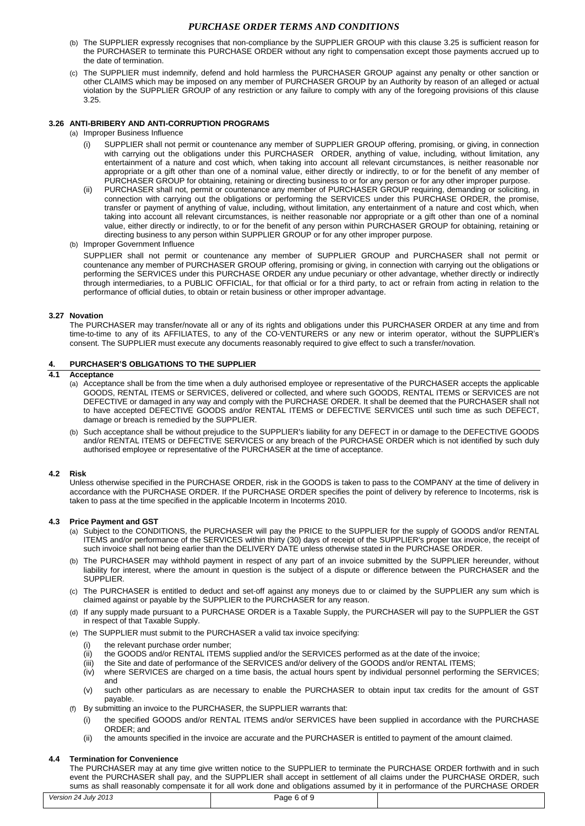- (b) The SUPPLIER expressly recognises that non-compliance by the SUPPLIER GROUP with this clause [3.25](#page-4-1) is sufficient reason for the PURCHASER to terminate this PURCHASE ORDER without any right to compensation except those payments accrued up to the date of termination.
- (c) The SUPPLIER must indemnify, defend and hold harmless the PURCHASER GROUP against any penalty or other sanction or other CLAIMS which may be imposed on any member of PURCHASER GROUP by an Authority by reason of an alleged or actual violation by the SUPPLIER GROUP of any restriction or any failure to comply with any of the foregoing provisions of this clause [3.25.](#page-4-1)

## **3.26 ANTI-BRIBERY AND ANTI-CORRUPTION PROGRAMS**

- (a) Improper Business Influence
	- (i) SUPPLIER shall not permit or countenance any member of SUPPLIER GROUP offering, promising, or giving, in connection with carrying out the obligations under this PURCHASER ORDER, anything of value, including, without limitation, any entertainment of a nature and cost which, when taking into account all relevant circumstances, is neither reasonable nor appropriate or a gift other than one of a nominal value, either directly or indirectly, to or for the benefit of any member of PURCHASER GROUP for obtaining, retaining or directing business to or for any person or for any other improper purpose.
	- (ii) PURCHASER shall not, permit or countenance any member of PURCHASER GROUP requiring, demanding or soliciting, in connection with carrying out the obligations or performing the SERVICES under this PURCHASE ORDER, the promise, transfer or payment of anything of value, including, without limitation, any entertainment of a nature and cost which, when taking into account all relevant circumstances, is neither reasonable nor appropriate or a gift other than one of a nominal value, either directly or indirectly, to or for the benefit of any person within PURCHASER GROUP for obtaining, retaining or directing business to any person within SUPPLIER GROUP or for any other improper purpose.
- (b) Improper Government Influence

SUPPLIER shall not permit or countenance any member of SUPPLIER GROUP and PURCHASER shall not permit or countenance any member of PURCHASER GROUP offering, promising or giving, in connection with carrying out the obligations or performing the SERVICES under this PURCHASE ORDER any undue pecuniary or other advantage, whether directly or indirectly through intermediaries, to a PUBLIC OFFICIAL, for that official or for a third party, to act or refrain from acting in relation to the performance of official duties, to obtain or retain business or other improper advantage.

### **3.27 Novation**

The PURCHASER may transfer/novate all or any of its rights and obligations under this PURCHASER ORDER at any time and from time-to-time to any of its AFFILIATES, to any of the CO-VENTURERS or any new or interim operator, without the SUPPLIER's consent. The SUPPLIER must execute any documents reasonably required to give effect to such a transfer/novation.

# **4. PURCHASER'S OBLIGATIONS TO THE SUPPLIER**

## **4.1 Acceptance**

- (a) Acceptance shall be from the time when a duly authorised employee or representative of the PURCHASER accepts the applicable GOODS, RENTAL ITEMS or SERVICES, delivered or collected, and where such GOODS, RENTAL ITEMS or SERVICES are not DEFECTIVE or damaged in any way and comply with the PURCHASE ORDER. It shall be deemed that the PURCHASER shall not to have accepted DEFECTIVE GOODS and/or RENTAL ITEMS or DEFECTIVE SERVICES until such time as such DEFECT, damage or breach is remedied by the SUPPLIER.
- (b) Such acceptance shall be without prejudice to the SUPPLIER's liability for any DEFECT in or damage to the DEFECTIVE GOODS and/or RENTAL ITEMS or DEFECTIVE SERVICES or any breach of the PURCHASE ORDER which is not identified by such duly authorised employee or representative of the PURCHASER at the time of acceptance.

### **4.2 Risk**

Unless otherwise specified in the PURCHASE ORDER, risk in the GOODS is taken to pass to the COMPANY at the time of delivery in accordance with the PURCHASE ORDER. If the PURCHASE ORDER specifies the point of delivery by reference to Incoterms, risk is taken to pass at the time specified in the applicable Incoterm in Incoterms 2010.

### **4.3 Price Payment and GST**

- (a) Subject to the CONDITIONS, the PURCHASER will pay the PRICE to the SUPPLIER for the supply of GOODS and/or RENTAL ITEMS and/or performance of the SERVICES within thirty (30) days of receipt of the SUPPLIER's proper tax invoice, the receipt of such invoice shall not being earlier than the DELIVERY DATE unless otherwise stated in the PURCHASE ORDER.
- (b) The PURCHASER may withhold payment in respect of any part of an invoice submitted by the SUPPLIER hereunder, without liability for interest, where the amount in question is the subject of a dispute or difference between the PURCHASER and the SUPPLIER.
- (c) The PURCHASER is entitled to deduct and set-off against any moneys due to or claimed by the SUPPLIER any sum which is claimed against or payable by the SUPPLIER to the PURCHASER for any reason.
- (d) If any supply made pursuant to a PURCHASE ORDER is a Taxable Supply, the PURCHASER will pay to the SUPPLIER the GST in respect of that Taxable Supply.
- (e) The SUPPLIER must submit to the PURCHASER a valid tax invoice specifying:
	- (i) the relevant purchase order number;
	- (ii) the GOODS and/or RENTAL ITEMS supplied and/or the SERVICES performed as at the date of the invoice;
	- (iii) the Site and date of performance of the SERVICES and/or delivery of the GOODS and/or RENTAL ITEMS;<br>(iv) where SERVICES are charged on a time basis, the actual hours spent by individual personnel performin
	- where SERVICES are charged on a time basis, the actual hours spent by individual personnel performing the SERVICES; and
	- (v) such other particulars as are necessary to enable the PURCHASER to obtain input tax credits for the amount of GST payable.
- (f) By submitting an invoice to the PURCHASER, the SUPPLIER warrants that:
	- (i) the specified GOODS and/or RENTAL ITEMS and/or SERVICES have been supplied in accordance with the PURCHASE ORDER; and
	- (ii) the amounts specified in the invoice are accurate and the PURCHASER is entitled to payment of the amount claimed.

#### **4.4 Termination for Convenience**

*Version 24 July 2013* Page 6 of 9 The PURCHASER may at any time give written notice to the SUPPLIER to terminate the PURCHASE ORDER forthwith and in such event the PURCHASER shall pay, and the SUPPLIER shall accept in settlement of all claims under the PURCHASE ORDER, such sums as shall reasonably compensate it for all work done and obligations assumed by it in performance of the PURCHASE ORDER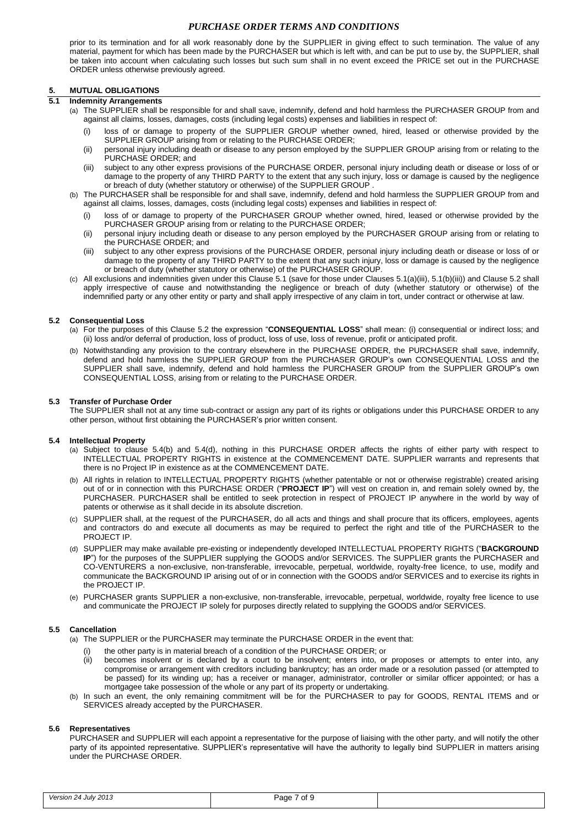prior to its termination and for all work reasonably done by the SUPPLIER in giving effect to such termination. The value of any material, payment for which has been made by the PURCHASER but which is left with, and can be put to use by, the SUPPLIER, shall be taken into account when calculating such losses but such sum shall in no event exceed the PRICE set out in the PURCHASE ORDER unless otherwise previously agreed.

# **5. MUTUAL OBLIGATIONS**

### <span id="page-6-0"></span>**5.1 Indemnity Arrangements**

- (a) The SUPPLIER shall be responsible for and shall save, indemnify, defend and hold harmless the PURCHASER GROUP from and against all claims, losses, damages, costs (including legal costs) expenses and liabilities in respect of:
	- (i) loss of or damage to property of the SUPPLIER GROUP whether owned, hired, leased or otherwise provided by the SUPPLIER GROUP arising from or relating to the PURCHASE ORDER;
	- (ii) personal injury including death or disease to any person employed by the SUPPLIER GROUP arising from or relating to the PURCHASE ORDER; and
	- (iii) subject to any other express provisions of the PURCHASE ORDER, personal injury including death or disease or loss of or damage to the property of any THIRD PARTY to the extent that any such injury, loss or damage is caused by the negligence or breach of duty (whether statutory or otherwise) of the SUPPLIER GROUP .
- <span id="page-6-1"></span>(b) The PURCHASER shall be responsible for and shall save, indemnify, defend and hold harmless the SUPPLIER GROUP from and against all claims, losses, damages, costs (including legal costs) expenses and liabilities in respect of:
	- (i) loss of or damage to property of the PURCHASER GROUP whether owned, hired, leased or otherwise provided by the PURCHASER GROUP arising from or relating to the PURCHASE ORDER;
	- (ii) personal injury including death or disease to any person employed by the PURCHASER GROUP arising from or relating to the PURCHASE ORDER; and
	- (iii) subject to any other express provisions of the PURCHASE ORDER, personal injury including death or disease or loss of or damage to the property of any THIRD PARTY to the extent that any such injury, loss or damage is caused by the negligence or breach of duty (whether statutory or otherwise) of the PURCHASER GROUP.
- <span id="page-6-2"></span>(c) All exclusions and indemnities given under this Claus[e 5.1](#page-6-0) (save for those under Clause[s 5.1\(a\)\(iii\),](#page-6-1) [5.1\(b\)\(iii\)\)](#page-6-2) and Clause [5.2](#page-6-3) shall apply irrespective of cause and notwithstanding the negligence or breach of duty (whether statutory or otherwise) of the indemnified party or any other entity or party and shall apply irrespective of any claim in tort, under contract or otherwise at law.

### <span id="page-6-3"></span>**5.2 Consequential Loss**

- (a) For the purposes of this Clause [5.2](#page-6-3) the expression "**CONSEQUENTIAL LOSS**" shall mean: (i) consequential or indirect loss; and (ii) loss and/or deferral of production, loss of product, loss of use, loss of revenue, profit or anticipated profit.
- (b) Notwithstanding any provision to the contrary elsewhere in the PURCHASE ORDER, the PURCHASER shall save, indemnify, defend and hold harmless the SUPPLIER GROUP from the PURCHASER GROUP's own CONSEQUENTIAL LOSS and the SUPPLIER shall save, indemnify, defend and hold harmless the PURCHASER GROUP from the SUPPLIER GROUP's own CONSEQUENTIAL LOSS, arising from or relating to the PURCHASE ORDER.

## **5.3 Transfer of Purchase Order**

The SUPPLIER shall not at any time sub-contract or assign any part of its rights or obligations under this PURCHASE ORDER to any other person, without first obtaining the PURCHASER's prior written consent.

### **5.4 Intellectual Property**

- (a) Subject to clause [5.4\(b\)](#page-6-4) and [5.4\(d\),](#page-6-5) nothing in this PURCHASE ORDER affects the rights of either party with respect to INTELLECTUAL PROPERTY RIGHTS in existence at the COMMENCEMENT DATE. SUPPLIER warrants and represents that there is no Project IP in existence as at the COMMENCEMENT DATE.
- <span id="page-6-4"></span>(b) All rights in relation to INTELLECTUAL PROPERTY RIGHTS (whether patentable or not or otherwise registrable) created arising out of or in connection with this PURCHASE ORDER ("**PROJECT IP**") will vest on creation in, and remain solely owned by, the PURCHASER. PURCHASER shall be entitled to seek protection in respect of PROJECT IP anywhere in the world by way of patents or otherwise as it shall decide in its absolute discretion.
- (c) SUPPLIER shall, at the request of the PURCHASER, do all acts and things and shall procure that its officers, employees, agents and contractors do and execute all documents as may be required to perfect the right and title of the PURCHASER to the PROJECT IP.
- <span id="page-6-5"></span>(d) SUPPLIER may make available pre-existing or independently developed INTELLECTUAL PROPERTY RIGHTS ("**BACKGROUND IP**") for the purposes of the SUPPLIER supplying the GOODS and/or SERVICES. The SUPPLIER grants the PURCHASER and CO-VENTURERS a non-exclusive, non-transferable, irrevocable, perpetual, worldwide, royalty-free licence, to use, modify and communicate the BACKGROUND IP arising out of or in connection with the GOODS and/or SERVICES and to exercise its rights in the PROJECT IP.
- (e) PURCHASER grants SUPPLIER a non-exclusive, non-transferable, irrevocable, perpetual, worldwide, royalty free licence to use and communicate the PROJECT IP solely for purposes directly related to supplying the GOODS and/or SERVICES.

#### **5.5 Cancellation**

- (a) The SUPPLIER or the PURCHASER may terminate the PURCHASE ORDER in the event that:
	- (i) the other party is in material breach of a condition of the PURCHASE ORDER; or (ii) becomes insolvent or is declared by a court to be insolvent; enters into, or
	- becomes insolvent or is declared by a court to be insolvent; enters into, or proposes or attempts to enter into, any compromise or arrangement with creditors including bankruptcy; has an order made or a resolution passed (or attempted to be passed) for its winding up; has a receiver or manager, administrator, controller or similar officer appointed; or has a mortgagee take possession of the whole or any part of its property or undertaking.
- (b) In such an event, the only remaining commitment will be for the PURCHASER to pay for GOODS, RENTAL ITEMS and or SERVICES already accepted by the PURCHASER.

### **5.6 Representatives**

PURCHASER and SUPPLIER will each appoint a representative for the purpose of liaising with the other party, and will notify the other party of its appointed representative. SUPPLIER's representative will have the authority to legally bind SUPPLIER in matters arising under the PURCHASE ORDER.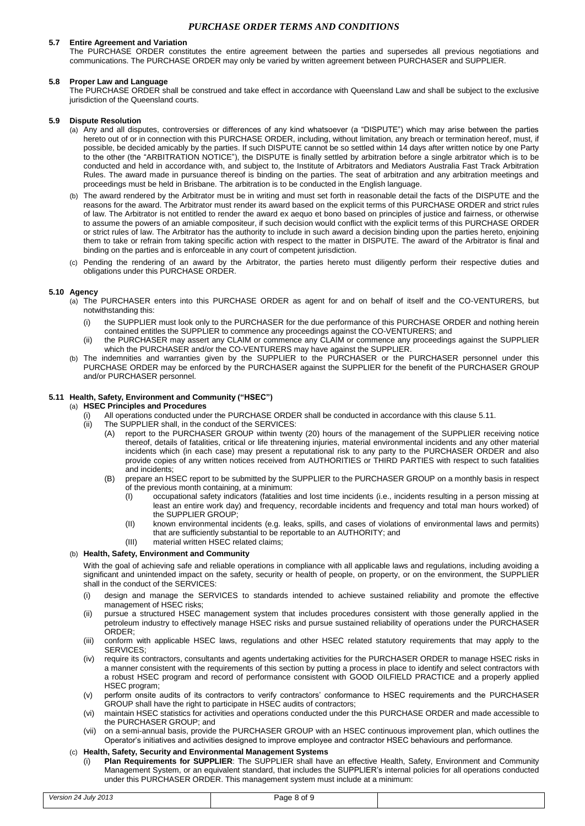## **5.7 Entire Agreement and Variation**

The PURCHASE ORDER constitutes the entire agreement between the parties and supersedes all previous negotiations and communications. The PURCHASE ORDER may only be varied by written agreement between PURCHASER and SUPPLIER.

## **5.8 Proper Law and Language**

The PURCHASE ORDER shall be construed and take effect in accordance with Queensland Law and shall be subject to the exclusive jurisdiction of the Queensland courts.

## **5.9 Dispute Resolution**

- (a) Any and all disputes, controversies or differences of any kind whatsoever (a "DISPUTE") which may arise between the parties hereto out of or in connection with this PURCHASE ORDER, including, without limitation, any breach or termination hereof, must, if possible, be decided amicably by the parties. If such DISPUTE cannot be so settled within 14 days after written notice by one Party to the other (the "ARBITRATION NOTICE"), the DISPUTE is finally settled by arbitration before a single arbitrator which is to be conducted and held in accordance with, and subject to, the Institute of Arbitrators and Mediators Australia Fast Track Arbitration Rules. The award made in pursuance thereof is binding on the parties. The seat of arbitration and any arbitration meetings and proceedings must be held in Brisbane. The arbitration is to be conducted in the English language.
- (b) The award rendered by the Arbitrator must be in writing and must set forth in reasonable detail the facts of the DISPUTE and the reasons for the award. The Arbitrator must render its award based on the explicit terms of this PURCHASE ORDER and strict rules of law. The Arbitrator is not entitled to render the award ex aequo et bono based on principles of justice and fairness, or otherwise to assume the powers of an amiable compositeur, if such decision would conflict with the explicit terms of this PURCHASE ORDER or strict rules of law. The Arbitrator has the authority to include in such award a decision binding upon the parties hereto, enjoining them to take or refrain from taking specific action with respect to the matter in DISPUTE. The award of the Arbitrator is final and binding on the parties and is enforceable in any court of competent jurisdiction.
- (c) Pending the rendering of an award by the Arbitrator, the parties hereto must diligently perform their respective duties and obligations under this PURCHASE ORDER.

### **5.10 Agency**

- (a) The PURCHASER enters into this PURCHASE ORDER as agent for and on behalf of itself and the CO-VENTURERS, but notwithstanding this:
	- (i) the SUPPLIER must look only to the PURCHASER for the due performance of this PURCHASE ORDER and nothing herein contained entitles the SUPPLIER to commence any proceedings against the CO-VENTURERS; and
	- (ii) the PURCHASER may assert any CLAIM or commence any CLAIM or commence any proceedings against the SUPPLIER which the PURCHASER and/or the CO-VENTURERS may have against the SUPPLIER.
- (b) The indemnities and warranties given by the SUPPLIER to the PURCHASER or the PURCHASER personnel under this PURCHASE ORDER may be enforced by the PURCHASER against the SUPPLIER for the benefit of the PURCHASER GROUP and/or PURCHASER personnel.

### <span id="page-7-0"></span>**5.11 Health, Safety, Environment and Community ("HSEC")**

# <span id="page-7-1"></span>(a) **HSEC Principles and Procedures**

- (i) All operations conducted under the PURCHASE ORDER shall be conducted in accordance with this clause [5.11.](#page-7-0)<br>(ii) The SUPPLIER shall, in the conduct of the SERVICES:
- The SUPPLIER shall, in the conduct of the SERVICES:
	- (A) report to the PURCHASER GROUP within twenty (20) hours of the management of the SUPPLIER receiving notice thereof, details of fatalities, critical or life threatening injuries, material environmental incidents and any other material incidents which (in each case) may present a reputational risk to any party to the PURCHASER ORDER and also provide copies of any written notices received from AUTHORITIES or THIRD PARTIES with respect to such fatalities and incidents;
	- (B) prepare an HSEC report to be submitted by the SUPPLIER to the PURCHASER GROUP on a monthly basis in respect of the previous month containing, at a minimum:
		- (I) occupational safety indicators (fatalities and lost time incidents (i.e., incidents resulting in a person missing at least an entire work day) and frequency, recordable incidents and frequency and total man hours worked) of the SUPPLIER GROUP;
		- (II) known environmental incidents (e.g. leaks, spills, and cases of violations of environmental laws and permits) that are sufficiently substantial to be reportable to an AUTHORITY; and
		- (III) material written HSEC related claims;

### (b) **Health, Safety, Environment and Community**

With the goal of achieving safe and reliable operations in compliance with all applicable laws and regulations, including avoiding a significant and unintended impact on the safety, security or health of people, on property, or on the environment, the SUPPLIER shall in the conduct of the SERVICES:

- (i) design and manage the SERVICES to standards intended to achieve sustained reliability and promote the effective management of HSEC risks;
- (ii) pursue a structured HSEC management system that includes procedures consistent with those generally applied in the petroleum industry to effectively manage HSEC risks and pursue sustained reliability of operations under the PURCHASER ORDER;
- (iii) conform with applicable HSEC laws, regulations and other HSEC related statutory requirements that may apply to the SERVICES;
- (iv) require its contractors, consultants and agents undertaking activities for the PURCHASER ORDER to manage HSEC risks in a manner consistent with the requirements of this section by putting a process in place to identify and select contractors with a robust HSEC program and record of performance consistent with GOOD OILFIELD PRACTICE and a properly applied HSEC program;
- (v) perform onsite audits of its contractors to verify contractors' conformance to HSEC requirements and the PURCHASER GROUP shall have the right to participate in HSEC audits of contractors;
- (vi) maintain HSEC statistics for activities and operations conducted under the this PURCHASE ORDER and made accessible to the PURCHASER GROUP; and
- (vii) on a semi-annual basis, provide the PURCHASER GROUP with an HSEC continuous improvement plan, which outlines the Operator's initiatives and activities designed to improve employee and contractor HSEC behaviours and performance.

### (c) **Health, Safety, Security and Environmental Management Systems**

(i) **Plan Requirements for SUPPLIER**: The SUPPLIER shall have an effective Health, Safety, Environment and Community Management System, or an equivalent standard, that includes the SUPPLIER's internal policies for all operations conducted under this PURCHASER ORDER. This management system must include at a minimum: